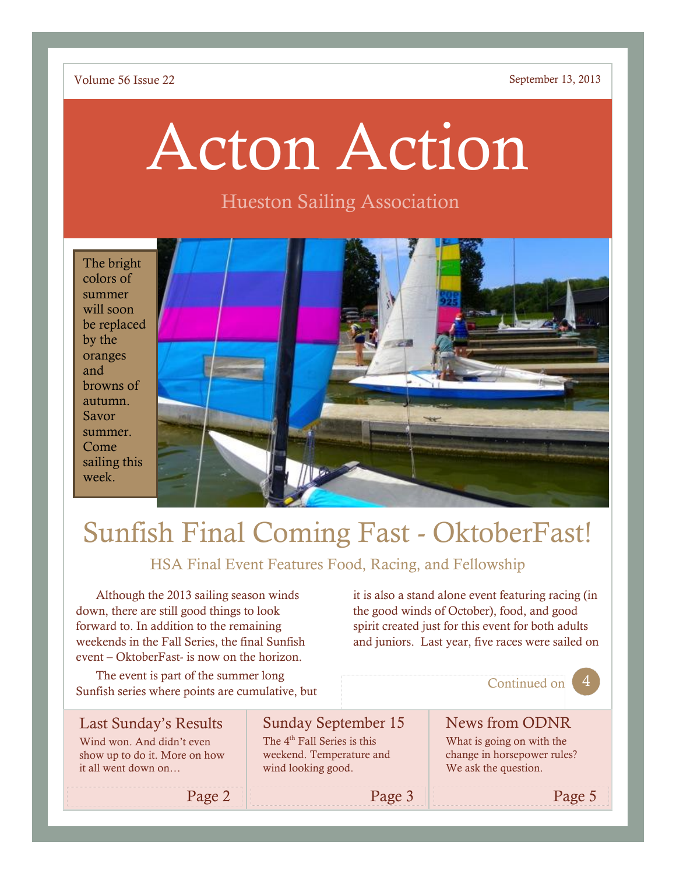### Volume 56 Issue 22 September 13, 2013

# Acton Action

### Hueston Sailing Association

The bright colors of summer will soon be replaced by the oranges and browns of autumn. Savor summer. Come sailing this week.



# Sunfish Final Coming Fast - OktoberFast!

### HSA Final Event Features Food, Racing, and Fellowship

Although the 2013 sailing season winds down, there are still good things to look forward to. In addition to the remaining weekends in the Fall Series, the final Sunfish event – OktoberFast- is now on the horizon.

The event is part of the summer long Sunfish series where points are cumulative, but

Page 2

it is also a stand alone event featuring racing (in the good winds of October), food, and good spirit created just for this event for both adults and juniors. Last year, five races were sailed on

### Continued on

News from ODNR

### Last Sunday's Results

Wind won. And didn't even show up to do it. More on how it all went down on…

Sunday September 15 The 4<sup>th</sup> Fall Series is this

weekend. Temperature and wind looking good.

Page 3

What is going on with the change in horsepower rules? We ask the question.

Page 5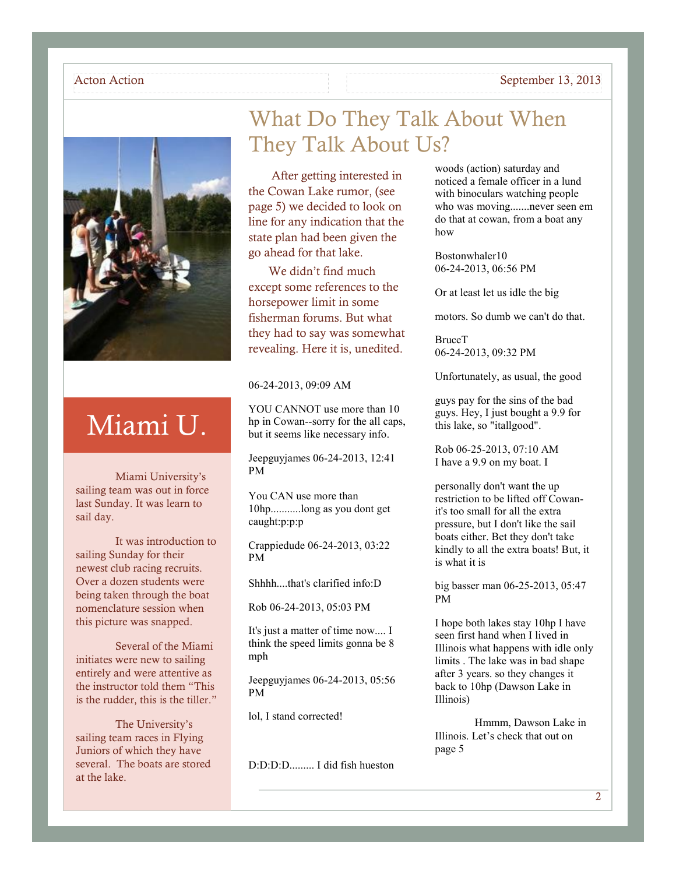#### Acton Action September 13, 2013



# Miami U.

Miami University's sailing team was out in force last Sunday. It was learn to sail day.

It was introduction to sailing Sunday for their newest club racing recruits. Over a dozen students were being taken through the boat nomenclature session when this picture was snapped.

Several of the Miami initiates were new to sailing entirely and were attentive as the instructor told them "This is the rudder, this is the tiller."

The University's sailing team races in Flying Juniors of which they have several. The boats are stored at the lake.

### What Do They Talk About When They Talk About Us?

After getting interested in the Cowan Lake rumor, (see page 5) we decided to look on line for any indication that the state plan had been given the go ahead for that lake.

We didn't find much except some references to the horsepower limit in some fisherman forums. But what they had to say was somewhat revealing. Here it is, unedited.

#### 06-24-2013, 09:09 AM

YOU CANNOT use more than 10 hp in Cowan--sorry for the all caps, but it seems like necessary info.

Jeepguyjames 06-24-2013, 12:41 PM

You CAN use more than 10hp...........long as you dont get caught:p:p:p

Crappiedude 06-24-2013, 03:22 PM

Shhhh....that's clarified info:D

Rob 06-24-2013, 05:03 PM

It's just a matter of time now.... I think the speed limits gonna be 8 mph

Jeepguyjames 06-24-2013, 05:56 PM

lol, I stand corrected!

D:D:D:D......... I did fish hueston

woods (action) saturday and noticed a female officer in a lund with binoculars watching people who was moving.......never seen em do that at cowan, from a boat any how

Bostonwhaler10 06-24-2013, 06:56 PM

Or at least let us idle the big

motors. So dumb we can't do that.

BruceT 06-24-2013, 09:32 PM

Unfortunately, as usual, the good

guys pay for the sins of the bad guys. Hey, I just bought a 9.9 for this lake, so "itallgood".

Rob 06-25-2013, 07:10 AM I have a 9.9 on my boat. I

personally don't want the up restriction to be lifted off Cowanit's too small for all the extra pressure, but I don't like the sail boats either. Bet they don't take kindly to all the extra boats! But, it is what it is

big basser man 06-25-2013, 05:47 PM

I hope both lakes stay 10hp I have seen first hand when I lived in Illinois what happens with idle only limits . The lake was in bad shape after 3 years. so they changes it back to 10hp (Dawson Lake in Illinois)

Hmmm, Dawson Lake in Illinois. Let's check that out on page 5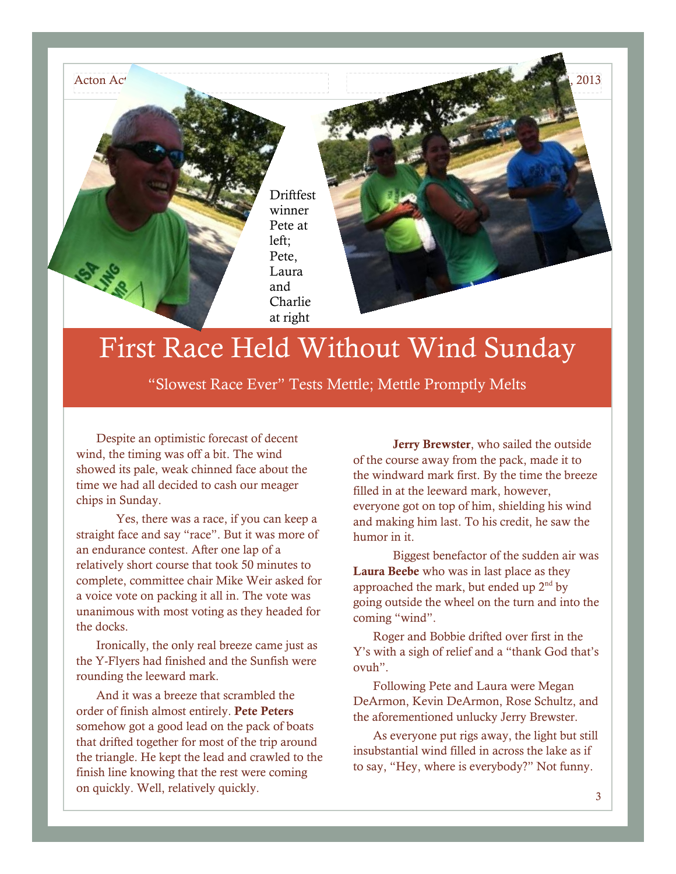

## First Race Held Without Wind Sunday

"Slowest Race Ever" Tests Mettle; Mettle Promptly Melts

Despite an optimistic forecast of decent wind, the timing was off a bit. The wind showed its pale, weak chinned face about the time we had all decided to cash our meager chips in Sunday.

Yes, there was a race, if you can keep a straight face and say "race". But it was more of an endurance contest. After one lap of a relatively short course that took 50 minutes to complete, committee chair Mike Weir asked for a voice vote on packing it all in. The vote was unanimous with most voting as they headed for the docks.

Ironically, the only real breeze came just as the Y-Flyers had finished and the Sunfish were rounding the leeward mark.

And it was a breeze that scrambled the order of finish almost entirely. **Pete Peters** somehow got a good lead on the pack of boats that drifted together for most of the trip around the triangle. He kept the lead and crawled to the finish line knowing that the rest were coming on quickly. Well, relatively quickly.

**Jerry Brewster**, who sailed the outside of the course away from the pack, made it to the windward mark first. By the time the breeze filled in at the leeward mark, however, everyone got on top of him, shielding his wind and making him last. To his credit, he saw the humor in it.

Biggest benefactor of the sudden air was **Laura Beebe** who was in last place as they approached the mark, but ended up  $2<sup>nd</sup>$  by going outside the wheel on the turn and into the coming "wind".

Roger and Bobbie drifted over first in the Y's with a sigh of relief and a "thank God that's ovuh".

Following Pete and Laura were Megan DeArmon, Kevin DeArmon, Rose Schultz, and the aforementioned unlucky Jerry Brewster.

As everyone put rigs away, the light but still insubstantial wind filled in across the lake as if to say, "Hey, where is everybody?" Not funny.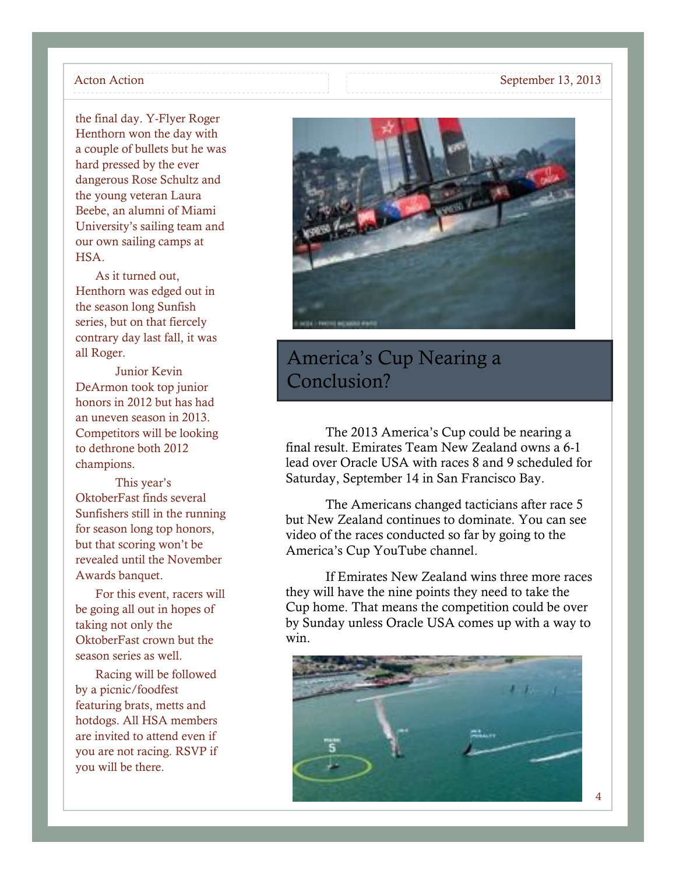the final day. Y-Flyer Roger Henthorn won the day with a couple of bullets but he was hard pressed by the ever dangerous Rose Schultz and the young veteran Laura Beebe, an alumni of Miami University's sailing team and our own sailing camps at HSA.

As it turned out, Henthorn was edged out in the season long Sunfish series, but on that fiercely contrary day last fall, it was all Roger.

Junior Kevin DeArmon took top junior honors in 2012 but has had an uneven season in 2013. Competitors will be looking to dethrone both 2012 champions.

This year's OktoberFast finds several Sunfishers still in the running for season long top honors, but that scoring won't be revealed until the November Awards banquet.

For this event, racers will be going all out in hopes of taking not only the OktoberFast crown but the season series as well.

Racing will be followed by a picnic/foodfest featuring brats, metts and hotdogs. All HSA members are invited to attend even if you are not racing. RSVP if you will be there.



### America's Cup Nearing a Conclusion?

The 2013 America's Cup could be nearing a final result. Emirates Team New Zealand owns a 6-1 lead over Oracle USA with races 8 and 9 scheduled for Saturday, September 14 in San Francisco Bay.

The Americans changed tacticians after race 5 but New Zealand continues to dominate. You can see video of the races conducted so far by going to the America's Cup YouTube channel.

If Emirates New Zealand wins three more races they will have the nine points they need to take the Cup home. That means the competition could be over by Sunday unless Oracle USA comes up with a way to win.